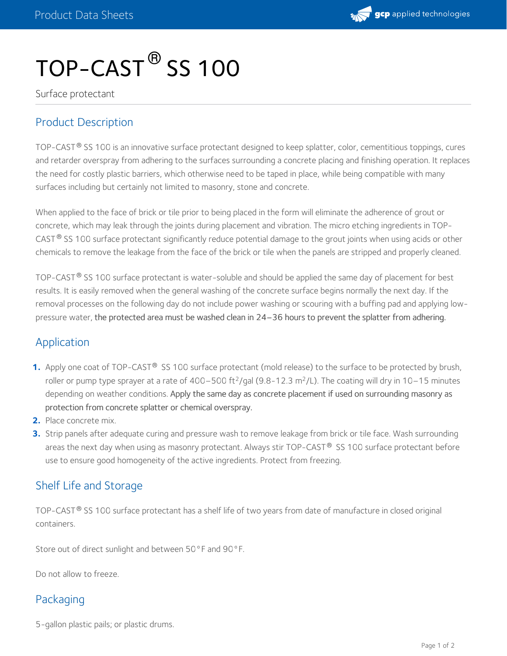

# $\mathsf{TOP\text{-}CAST}^\circledR$  SS 100

Surface protectant

## Product Description

TOP-CAST  $^\circ$  SS 100 is an innovative surface protectant designed to keep splatter, color, cementitious toppings, cures and retarder overspray from adhering to the surfaces surrounding a concrete placing and finishing operation. It replaces the need for costly plastic barriers, which otherwise need to be taped in place, while being compatible with many surfaces including but certainly not limited to masonry, stone and concrete.

When applied to the face of brick or tile prior to being placed in the form will eliminate the adherence of grout or concrete, which may leak through the joints during placement and vibration. The micro etching ingredients in TOP- CAST $^{\circledR}$  SS 100 surface protectant significantly reduce potential damage to the grout joints when using acids or other chemicals to remove the leakage from the face of the brick or tile when the panels are stripped and properly cleaned.

TOP-CAST  $^\circ$  SS 100 surface protectant is water-soluble and should be applied the same day of placement for best results. It is easily removed when the general washing of the concrete surface begins normally the next day. If the removal processes on the following day do not include power washing or scouring with a buffing pad and applying low pressure water, the protected area must be washed clean in 24–36 hours to prevent the splatter from adhering.

#### Application

- **1.** Apply one coat of TOP-CAST® SS 100 surface protectant (mold release) to the surface to be protected by brush, roller or pump type sprayer at a rate of 400–500 ft<sup>2</sup>/gal (9.8-12.3 m<sup>2</sup>/L). The coating will dry in 10–15 minutes depending on weather conditions. Apply the same day as concrete placement if used on surrounding masonry as protection from concrete splatter or chemical overspray.
- **2.** Place concrete mix.
- Strip panels after adequate curing and pressure wash to remove leakage from brick or tile face. Wash surrounding **3.** areas the next day when using as masonry protectant. Always stir TOP-CAST® SS 100 surface protectant before use to ensure good homogeneity of the active ingredients. Protect from freezing.

#### Shelf Life and Storage

<code>TOP-CAST®</code> <code>SS</code> 100 surface protectant has a shelf life of two years from date of manufacture in closed original containers.

Store out of direct sunlight and between 50°F and 90°F.

Do not allow to freeze.

#### Packaging

5-gallon plastic pails; or plastic drums.